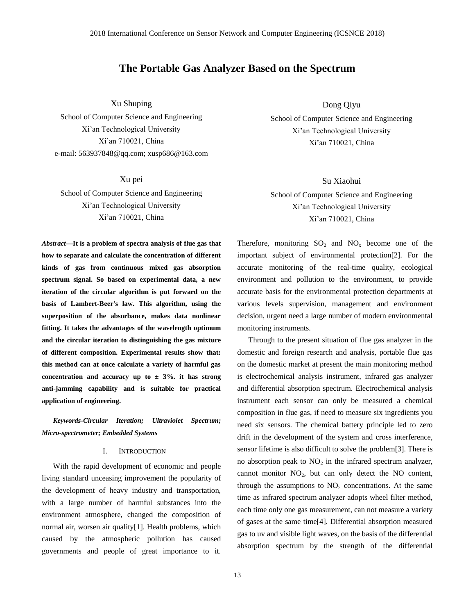# **The Portable Gas Analyzer Based on the Spectrum**

Xu Shuping

School of Computer Science and Engineering Xi'an Technological University Xi'an 710021, China e-mail: [563937848@qq.com; xusp686@163.com](mailto:xusp686@163.com)

Xu pei School of Computer Science and Engineering Xi'an Technological University Xi'an 710021, China

*Abstract—***It is a problem of spectra analysis of flue gas that how to separate and calculate the concentration of different kinds of gas from continuous mixed gas absorption spectrum signal. So based on experimental data, a new iteration of the circular algorithm is put forward on the basis of Lambert-Beer's law. This algorithm, using the superposition of the absorbance, makes data nonlinear fitting. It takes the advantages of the wavelength optimum and the circular iteration to distinguishing the gas mixture of different composition. Experimental results show that: this method can at once calculate a variety of harmful gas concentration and accuracy up to**  $\pm$  **3%. it has strong anti-jamming capability and is suitable for practical application of engineering.**

# *Keywords-Circular Iteration; Ultraviolet Spectrum; Micro-spectrometer; Embedded Systems*

## I. INTRODUCTION

With the rapid development of economic and people living standard unceasing improvement the popularity of the development of heavy industry and transportation, with a large number of harmful substances into the environment atmosphere, changed the composition of normal air, worsen air quality[1]. Health problems, which caused by the atmospheric pollution has caused governments and people of great importance to it.

13

Dong Qiyu

School of Computer Science and Engineering Xi'an Technological University Xi'an 710021, China

Su Xiaohui School of Computer Science and Engineering Xi'an Technological University Xi'an 710021, China

Therefore, monitoring  $SO_2$  and  $NO_x$  become one of the important subject of environmental protection[2]. For the accurate monitoring of the real-time quality, ecological environment and pollution to the environment, to provide accurate basis for the environmental protection departments at various levels supervision, management and environment decision, urgent need a large number of modern environmental monitoring instruments.

Through to the present situation of flue gas analyzer in the domestic and foreign research and analysis, portable flue gas on the domestic market at present the main monitoring method is electrochemical analysis instrument, infrared gas analyzer and differential absorption spectrum. Electrochemical analysis instrument each sensor can only be measured a chemical composition in flue gas, if need to measure six ingredients you need six sensors. The chemical battery principle led to zero drift in the development of the system and cross interference, sensor lifetime is also difficult to solve the problem[3]. There is no absorption peak to  $NO<sub>2</sub>$  in the infrared spectrum analyzer, cannot monitor  $NO<sub>2</sub>$ , but can only detect the NO content, through the assumptions to  $NO<sub>2</sub>$  concentrations. At the same time as infrared spectrum analyzer adopts wheel filter method, each time only one gas measurement, can not measure a variety of gases at the same time[4]. Differential absorption measured gas to uv and visible light waves, on the basis of the differential absorption spectrum by the strength of the differential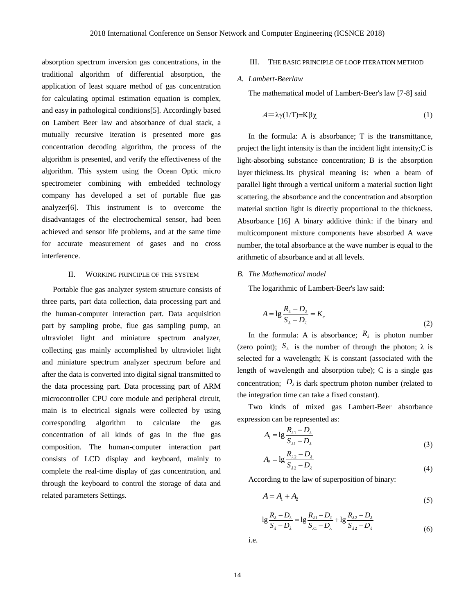absorption spectrum inversion gas concentrations, in the traditional algorithm of differential absorption, the application of least square method of gas concentration for calculating optimal estimation equation is complex, and easy in pathological conditions[5]. Accordingly based on Lambert Beer law and absorbance of dual stack, a mutually recursive iteration is presented more gas concentration decoding algorithm, the process of the algorithm is presented, and verify the effectiveness of the algorithm. This system using the Ocean Optic micro spectrometer combining with embedded technology company has developed a set of portable flue gas analyzer[6]. This instrument is to overcome the disadvantages of the electrochemical sensor, had been achieved and sensor life problems, and at the same time for accurate measurement of gases and no cross interference.

## II. WORKING PRINCIPLE OF THE SYSTEM

Portable flue gas analyzer system structure consists of three parts, part data collection, data processing part and the human-computer interaction part. Data acquisition part by sampling probe, flue gas sampling pump, an ultraviolet light and miniature spectrum analyzer, collecting gas mainly accomplished by ultraviolet light and miniature spectrum analyzer spectrum before and after the data is converted into digital signal transmitted to the data processing part. Data processing part of ARM microcontroller CPU core module and peripheral circuit, main is to electrical signals were collected by using corresponding algorithm to calculate the gas concentration of all kinds of gas in the flue gas composition. The human-computer interaction part consists of LCD display and keyboard, mainly to complete the real-time display of gas concentration, and through the keyboard to control the storage of data and related parameters Settings.

### III. THE BASIC PRINCIPLE OF LOOP ITERATION METHOD

## *A. Lambert-Beerlaw*

The mathematical model of Lambert-Beer's law [7-8] said

$$
A = \lambda \gamma (1/T) = K \beta \chi \tag{1}
$$

In the formula: A is absorbance: T is the transmittance, project the light intensity is than the incident light intensity;C is light-absorbing substance concentration; B is the absorption layer thickness.Its physical meaning is: when a beam of parallel light through a vertical uniform a material suction light scattering, the absorbance and the concentration and absorption material suction light is directly proportional to the thickness. Absorbance [16] A binary additive think: if the binary and multicomponent mixture components have absorbed A wave number, the total absorbance at the wave number is equal to the arithmetic of absorbance and at all levels.

### *B. The Mathematical model*

The logarithmic of Lambert-Beer's law said:

$$
A = \lg \frac{R_{\lambda} - D_{\lambda}}{S_{\lambda} - D_{\lambda}} = K_c
$$
\n(2)

In the formula: A is absorbance;  $R_{\lambda}$  is photon number (zero point);  $S_{\lambda}$  is the number of through the photon;  $\lambda$  is selected for a wavelength; K is constant (associated with the length of wavelength and absorption tube); C is a single gas concentration;  $D_{\lambda}$  is dark spectrum photon number (related to the integration time can take a fixed constant).

Two kinds of mixed gas Lambert-Beer absorbance expression can be represented as:

$$
A_{1} = \lg \frac{R_{\lambda 1} - D_{\lambda}}{S_{\lambda 1} - D_{\lambda}}
$$
\n(3)

$$
A_2 = \lg \frac{R_{\lambda 2} - D_{\lambda}}{S_{\lambda 2} - D_{\lambda}}
$$
\n(4)

According to the law of superposition of binary:

$$
A = A_1 + A_2 \tag{5}
$$

$$
1g\frac{R_{\lambda} - D_{\lambda}}{S_{\lambda} - D_{\lambda}} = 1g\frac{R_{\lambda 1} - D_{\lambda}}{S_{\lambda 1} - D_{\lambda}} + 1g\frac{R_{\lambda 2} - D_{\lambda}}{S_{\lambda 2} - D_{\lambda}}
$$
(6)

i.e.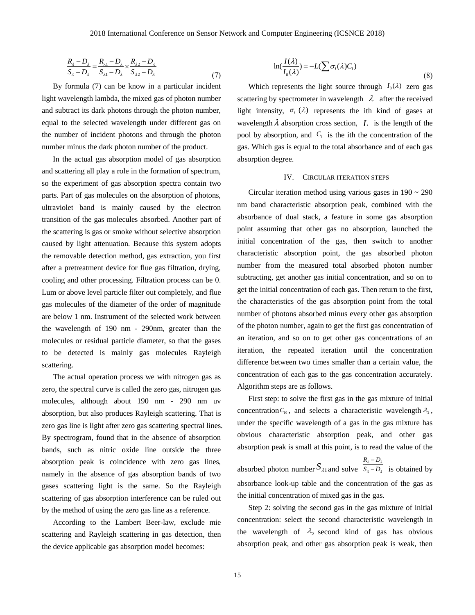$$
\frac{R_{\lambda} - D_{\lambda}}{S_{\lambda} - D_{\lambda}} = \frac{R_{\lambda 1} - D_{\lambda}}{S_{\lambda 1} - D_{\lambda}} \times \frac{R_{\lambda 2} - D_{\lambda}}{S_{\lambda 2} - D_{\lambda}}
$$
\n(7)

By formula (7) can be know in a particular incident light wavelength lambda, the mixed gas of photon number and subtract its dark photons through the photon number, equal to the selected wavelength under different gas on the number of incident photons and through the photon number minus the dark photon number of the product.

In the actual gas absorption model of gas absorption and scattering all play a role in the formation of spectrum, so the experiment of gas absorption spectra contain two parts. Part of gas molecules on the absorption of photons, ultraviolet band is mainly caused by the electron transition of the gas molecules absorbed. Another part of the scattering is gas or smoke without selective absorption caused by light attenuation. Because this system adopts the removable detection method, gas extraction, you first after a pretreatment device for flue gas filtration, drying, cooling and other processing. Filtration process can be 0. Lum or above level particle filter out completely, and flue gas molecules of the diameter of the order of magnitude are below 1 nm. Instrument of the selected work between the wavelength of 190 nm - 290nm, greater than the molecules or residual particle diameter, so that the gases to be detected is mainly gas molecules Rayleigh scattering.

The actual operation process we with nitrogen gas as zero, the spectral curve is called the zero gas, nitrogen gas molecules, although about 190 nm - 290 nm uv absorption, but also produces Rayleigh scattering. That is zero gas line is light after zero gas scattering spectral lines. By spectrogram, found that in the absence of absorption bands, such as nitric oxide line outside the three absorption peak is coincidence with zero gas lines, namely in the absence of gas absorption bands of two gases scattering light is the same. So the Rayleigh scattering of gas absorption interference can be ruled out by the method of using the zero gas line as a reference.

According to the Lambert Beer-law, exclude mie scattering and Rayleigh scattering in gas detection, then the device applicable gas absorption model becomes:

$$
\ln(\frac{I(\lambda)}{I_0(\lambda)}) = -L(\sum \sigma_i(\lambda)C_i)
$$
\n(8)

Which represents the light source through  $I_0(\lambda)$  zero gas scattering by spectrometer in wavelength  $\lambda$  after the received light intensity,  $\sigma_i$  ( $\lambda$ ) represents the ith kind of gases at wavelength  $\lambda$  absorption cross section,  $L$  is the length of the pool by absorption, and  $C_i$  is the ith the concentration of the gas. Which gas is equal to the total absorbance and of each gas absorption degree.

### IV. CIRCULAR ITERATION STEPS

Circular iteration method using various gases in  $190 \sim 290$ nm band characteristic absorption peak, combined with the absorbance of dual stack, a feature in some gas absorption point assuming that other gas no absorption, launched the initial concentration of the gas, then switch to another characteristic absorption point, the gas absorbed photon number from the measured total absorbed photon number subtracting, get another gas initial concentration, and so on to get the initial concentration of each gas. Then return to the first, the characteristics of the gas absorption point from the total number of photons absorbed minus every other gas absorption of the photon number, again to get the first gas concentration of an iteration, and so on to get other gas concentrations of an iteration, the repeated iteration until the concentration difference between two times smaller than a certain value, the concentration of each gas to the gas concentration accurately. Algorithm steps are as follows.

First step: to solve the first gas in the gas mixture of initial concentration  $C_{10}$ , and selects a characteristic wavelength  $\lambda_1$ , under the specific wavelength of a gas in the gas mixture has obvious characteristic absorption peak, and other gas absorption peak is small at this point, is to read the value of the  $R_{i} - D_{i}$  $\frac{N_{\lambda} - D_{\lambda}}{S_{\lambda} - D_{\lambda}}$  $\overline{\phantom{0}}$ 

absorbed photon number  $S_{\lambda 1}$  and solve  $\lambda$   $\lambda$  $-D_{\lambda}$  is obtained by absorbance look-up table and the concentration of the gas as the initial concentration of mixed gas in the gas.

Step 2: solving the second gas in the gas mixture of initial concentration: select the second characteristic wavelength in the wavelength of  $\lambda_2$  second kind of gas has obvious absorption peak, and other gas absorption peak is weak, then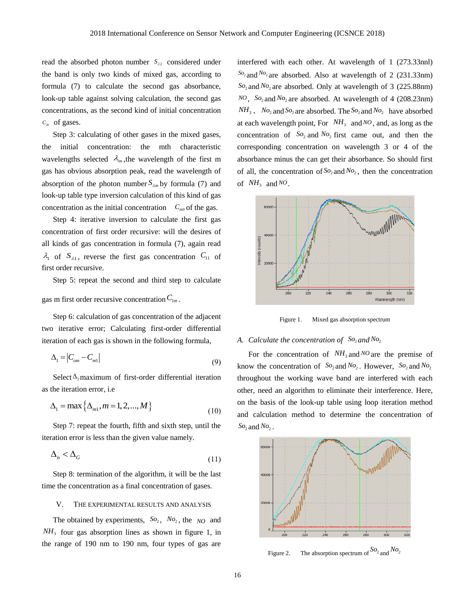read the absorbed photon number  $S_{\lambda 2}$  considered under the band is only two kinds of mixed gas, according to formula (7) to calculate the second gas absorbance, look-up table against solving calculation, the second gas concentrations, as the second kind of initial concentration  $C_{20}$  of gases.

Step 3: calculating of other gases in the mixed gases, the initial concentration: the mth characteristic wavelengths selected  $\lambda_m$ , the wavelength of the first m gas has obvious absorption peak, read the wavelength of absorption of the photon number  $S_{\lambda m}$  by formula (7) and look-up table type inversion calculation of this kind of gas concentration as the initial concentration  $C_{m0}$  of the gas.

Step 4: iterative inversion to calculate the first gas concentration of first order recursive: will the desires of all kinds of gas concentration in formula (7), again read  $\lambda_1$  of  $S_{\lambda_1}$ , reverse the first gas concentration  $C_{11}$  of first order recursive.

Step 5: repeat the second and third step to calculate

gas m first order recursive concentration  $C_{1m}$ .

Step 6: calculation of gas concentration of the adjacent two iterative error; Calculating first-order differential iteration of each gas is shown in the following formula,

$$
\Delta_1 = \left| C_{\text{om}} - C_{\text{ml}} \right| \tag{9}
$$

Select  $\Delta_1$  maximum of first-order differential iteration as the iteration error, i.e

$$
\Delta_1 = \max \{ \Delta_{m1}, m = 1, 2, ..., M \}
$$
 (10)

Step 7: repeat the fourth, fifth and sixth step, until the iteration error is less than the given value namely.

$$
\Delta_n < \Delta_G \tag{11}
$$

Step 8: termination of the algorithm, it will be the last time the concentration as a final concentration of gases.

### V. THE EXPERIMENTAL RESULTS AND ANALYSIS

The obtained by experiments,  $So_2$ ,  $No_2$ , the  $NO$  and  $NH<sub>3</sub>$  four gas absorption lines as shown in figure 1, in the range of 190 nm to 190 nm, four types of gas are

interfered with each other. At wavelength of 1 (273.33nnl) <sup>2</sup> *So* and *No*<sup>2</sup> are absorbed. Also at wavelength of 2 (231.33nm) <sup>2</sup> *So* and *No*<sup>2</sup> are absorbed. Only at wavelength of 3 (225.88nm) *NO*, *So*<sub>2</sub> and *No*<sub>2</sub> are absorbed. At wavelength of 4 (208.23nm)  $NH_3$ ,  $No_2$  and  $So_2$  are absorbed. The  $So_2$  and  $No_2$  have absorbed at each wavelength point, For  $NH<sub>3</sub>$  and NO, and, as long as the concentration of  $So_2$  and  $No_2$  first came out, and then the corresponding concentration on wavelength 3 or 4 of the absorbance minus the can get their absorbance. So should first of all, the concentration of  $SO_2$  and  $N_{2}$ , then the concentration of  $NH_3$  and <sup>NO</sup>.



Figure 1. Mixed gas absorption spectrum

## A. Calculate the concentration of  $\,$ So<sub>2</sub> and No<sub>2</sub>

For the concentration of  $NH_3$  and NO are the premise of know the concentration of  $So_2$  and  $No_2$ . However,  $So_2$  and  $No_2$ throughout the working wave band are interfered with each other, need an algorithm to eliminate their interference. Here, on the basis of the look-up table using loop iteration method and calculation method to determine the concentration of  $SO_2$  and  $NO_2$ .



Figure 2. The absorption spectrum of  $\frac{S_0}{2}$  and  $\frac{N_0}{2}$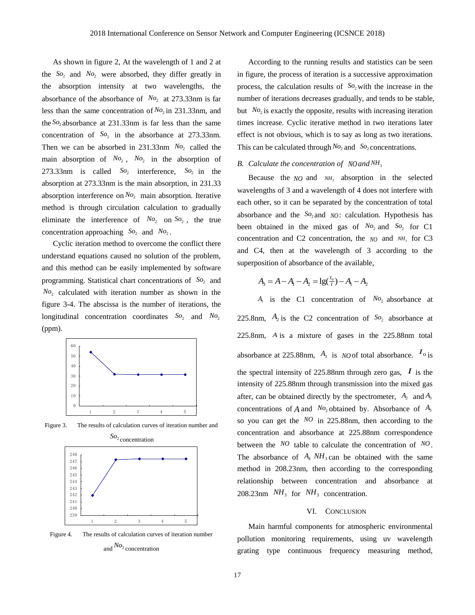As shown in figure 2, At the wavelength of 1 and 2 at the  $So_2$  and  $No_2$  were absorbed, they differ greatly in the absorption intensity at two wavelengths, the absorbance of the absorbance of  $N_{O_2}$  at 273.33nm is far less than the same concentration of  $N_2$  in 231.33nm, and the  $\mathcal{S}o_2$  absorbance at 231.33nm is far less than the same concentration of  $So<sub>2</sub>$  in the absorbance at 273.33nm. Then we can be absorbed in  $231.33$ nm  $N_{o_2}$  called the main absorption of  $N_{O_2}$ ,  $N_{O_2}$  in the absorption of 273.33nm is called  $So_2$  interference,  $So_2$  in the absorption at 273.33nm is the main absorption, in 231.33 absorption interference on  $N_2$  main absorption. Iterative method is through circulation calculation to gradually eliminate the interference of  $No<sub>2</sub>$  on  $So<sub>2</sub>$ , the true concentration approaching  $So_2$  and  $No_2$ .

Cyclic iteration method to overcome the conflict there understand equations caused no solution of the problem, and this method can be easily implemented by software programming. Statistical chart concentrations of  $So<sub>2</sub>$  and *No*<sup>2</sup> calculated with iteration number as shown in the figure 3-4. The abscissa is the number of iterations, the longitudinal concentration coordinates  $So_2$  and  $No_2$ (ppm).



Figure 3. The results of calculation curves of iteration number and



Figure 4. The results of calculation curves of iteration number and *No*<sup>2</sup> concentration

According to the running results and statistics can be seen in figure, the process of iteration is a successive approximation process, the calculation results of  $\mathcal{S}^{\circ}$  with the increase in the number of iterations decreases gradually, and tends to be stable, but  $N_2$  is exactly the opposite, results with increasing iteration times increase. Cyclic iterative method in two iterations later effect is not obvious, which is to say as long as two iterations. This can be calculated through  $N_2$  and  $S_2$  concentrations.

#### B. Calculate the concentration of  $N0$  and  $NH<sub>3</sub>$

Because the  $NO$  and  $NH<sub>3</sub>$  absorption in the selected wavelengths of 3 and a wavelength of 4 does not interfere with each other, so it can be separated by the concentration of total absorbance and the  $So_2$  and  $NO$ : calculation. Hypothesis has been obtained in the mixed gas of  $N_{O_2}$  and  $S_{O_2}$  for C1 concentration and C2 concentration, the *NO* and *NH*<sub>3</sub> for C3 and C4, then at the wavelength of 3 according to the superposition of absorbance of the available,

$$
A_3 = A - A_1 - A_2 = \lg(\frac{I_0}{I}) - A_1 - A_2
$$

 $A_1$  is the C1 concentration of  $N_2$  absorbance at 225.8nm,  $A_2$  is the C2 concentration of  $So_2$  absorbance at 225.8nm, *A* is a mixture of gases in the 225.88nm total absorbance at 225.88nm,  $A_3$  is *NO* of total absorbance.  $I_0$  is the spectral intensity of 225.88nm through zero gas,  $\boldsymbol{I}$  is the intensity of 225.88nm through transmission into the mixed gas after, can be obtained directly by the spectrometer,  $A_2$  and  $A_3$ concentrations of A and  $No_2$  obtained by. Absorbance of  $A_3$ so you can get the *NO* in 225.88nm, then according to the concentration and absorbance at 225.88nm correspondence between the *NO* table to calculate the concentration of *NO*. The absorbance of  $A_4$   $NH_3$  can be obtained with the same method in 208.23nm, then according to the corresponding relationship between concentration and absorbance at 208.23nm  $NH_3$  for  $NH_3$  concentration.

### VI. CONCLUSION

Main harmful components for atmospheric environmental pollution monitoring requirements, using uv wavelength grating type continuous frequency measuring method,